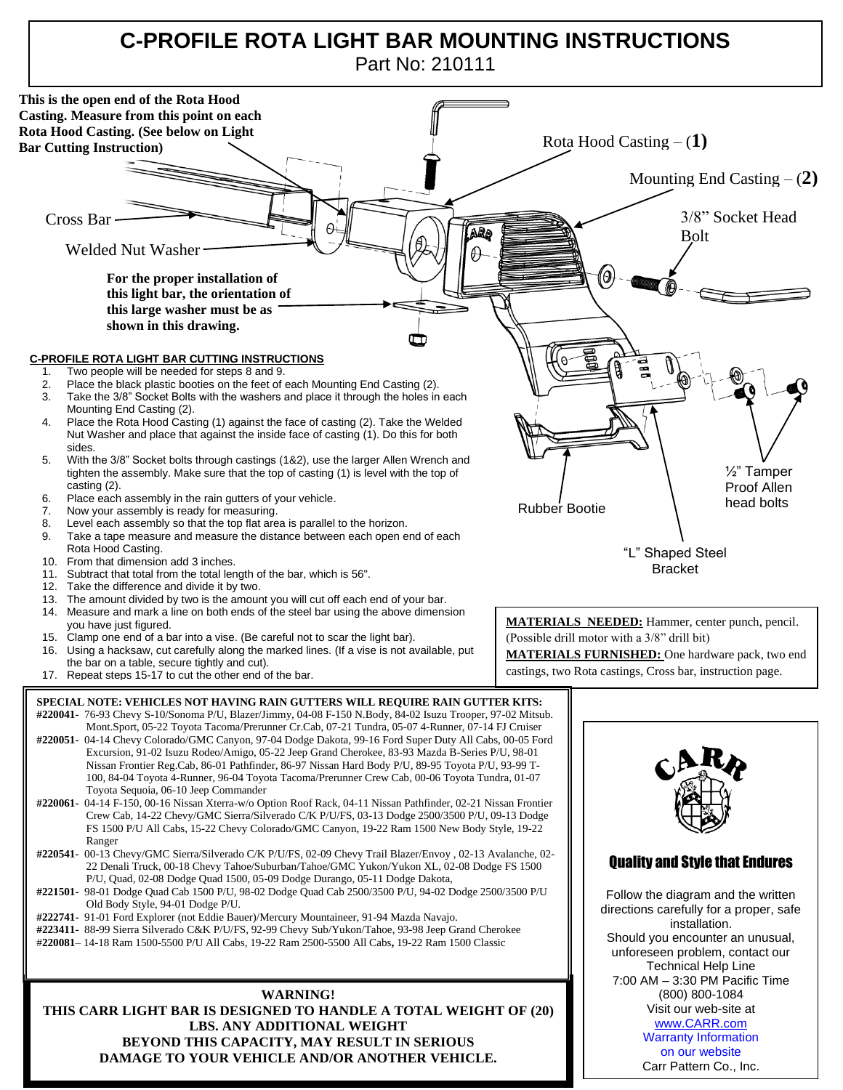## **C-PROFILE ROTA LIGHT BAR MOUNTING INSTRUCTIONS** Part No: 210111



**DAMAGE TO YOUR VEHICLE AND/OR ANOTHER VEHICLE.**